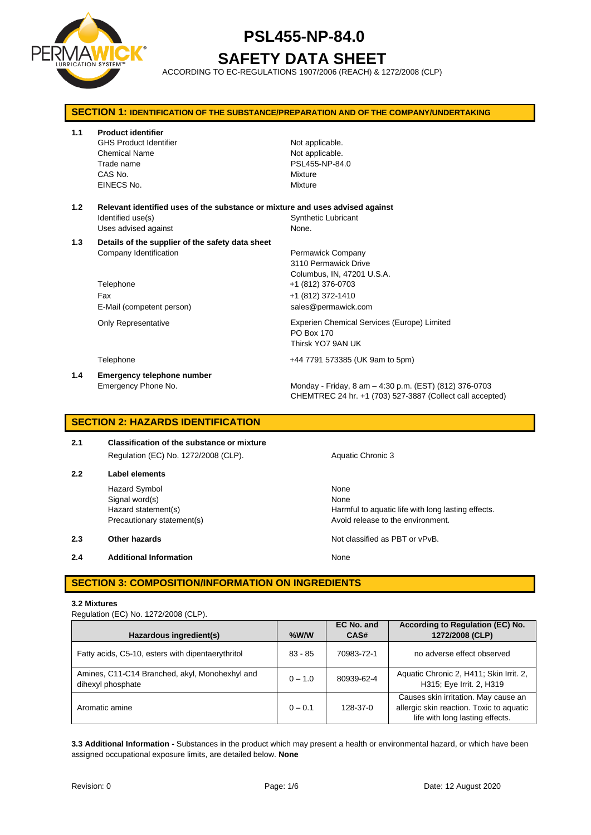

# **SAFETY DATA SHEET**

ACCORDING TO EC-REGULATIONS 1907/2006 (REACH) & 1272/2008 (CLP)

| <b>SECTION 1: IDENTIFICATION OF THE SUBSTANCE/PREPARATION AND OF THE COMPANY/UNDERTAKING</b> |                                                                                                                             |                                                                                                                                          |  |
|----------------------------------------------------------------------------------------------|-----------------------------------------------------------------------------------------------------------------------------|------------------------------------------------------------------------------------------------------------------------------------------|--|
| 1.1                                                                                          | <b>Product identifier</b><br><b>GHS Product Identifier</b><br><b>Chemical Name</b><br>Trade name<br>CAS No.<br>EINECS No.   | Not applicable.<br>Not applicable.<br>PSL455-NP-84.0<br>Mixture<br>Mixture                                                               |  |
| 1.2                                                                                          | Relevant identified uses of the substance or mixture and uses advised against<br>Identified use(s)<br>Uses advised against  | <b>Synthetic Lubricant</b><br>None.                                                                                                      |  |
| 1.3                                                                                          | Details of the supplier of the safety data sheet<br>Company Identification<br>Telephone<br>Fax<br>E-Mail (competent person) | Permawick Company<br>3110 Permawick Drive<br>Columbus, IN, 47201 U.S.A.<br>+1 (812) 376-0703<br>+1 (812) 372-1410<br>sales@permawick.com |  |
|                                                                                              | <b>Only Representative</b>                                                                                                  | Experien Chemical Services (Europe) Limited<br>PO Box 170<br>Thirsk YO7 9AN UK                                                           |  |
|                                                                                              | Telephone                                                                                                                   | +44 7791 573385 (UK 9am to 5pm)                                                                                                          |  |
| 1.4                                                                                          | Emergency telephone number<br>Emergency Phone No.                                                                           | Monday - Friday, 8 am - 4:30 p.m. (EST) (812) 376-0703<br>CHEMTREC 24 hr. +1 (703) 527-3887 (Collect call accepted)                      |  |

#### **SECTION 2: HAZARDS IDENTIFICATION**

#### **2.1 Classification of the substance or mixture** Regulation (EC) No. 1272/2008 (CLP). Aquatic Chronic 3

## **2.2 Label elements** Hazard Symbol None

Signal word(s) None

**2.4 Additional Information None** 

Hazard statement(s) The Harmful to aquatic life with long lasting effects. Precautionary statement(s) example a method of the environment.

**2.3 Other hazards Details According to the COVID-100 Motion COVID-100 Motion COVID-100 Motion COVID-100 Motion COVID-100 Motion COVID-100 Motion COVID-100 Motion COVID-100 Motion COVID-100 Motion COVID-100 Motion COVI** 

## **SECTION 3: COMPOSITION/INFORMATION ON INGREDIENTS**

#### **3.2 Mixtures**

| Regulation (EC) No. 1272/2008 (CLP). |
|--------------------------------------|
|--------------------------------------|

| Hazardous ingredient(s)                                             | $%$ W/W   | EC No. and<br>CAS# | According to Regulation (EC) No.<br>1272/2008 (CLP)                                                                 |
|---------------------------------------------------------------------|-----------|--------------------|---------------------------------------------------------------------------------------------------------------------|
| Fatty acids, C5-10, esters with dipentaerythritol                   | $83 - 85$ | 70983-72-1         | no adverse effect observed                                                                                          |
| Amines, C11-C14 Branched, akyl, Monohexhyl and<br>dihexyl phosphate | $0 - 1.0$ | 80939-62-4         | Aquatic Chronic 2, H411; Skin Irrit. 2,<br>H315; Eye Irrit. 2, H319                                                 |
| Aromatic amine                                                      | $0 - 0.1$ | 128-37-0           | Causes skin irritation. May cause an<br>allergic skin reaction. Toxic to aquatic<br>life with long lasting effects. |

**3.3 Additional Information -** Substances in the product which may present a health or environmental hazard, or which have been assigned occupational exposure limits, are detailed below. **None**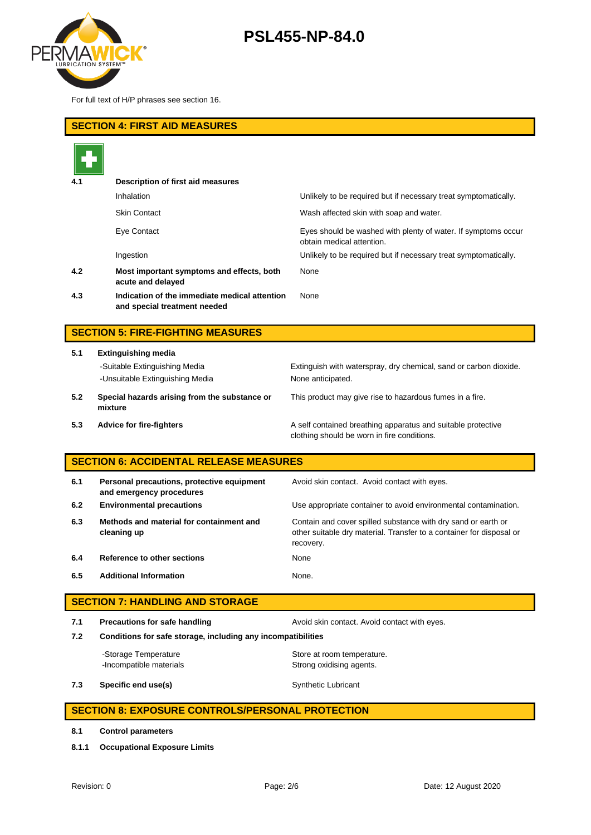

For full text of H/P phrases see section 16.

| <b>SECTION 4: FIRST AID MEASURES</b>          |                                                                               |                                                                                                                                                    |  |  |  |
|-----------------------------------------------|-------------------------------------------------------------------------------|----------------------------------------------------------------------------------------------------------------------------------------------------|--|--|--|
|                                               |                                                                               |                                                                                                                                                    |  |  |  |
|                                               | Description of first aid measures                                             |                                                                                                                                                    |  |  |  |
|                                               | Inhalation                                                                    | Unlikely to be required but if necessary treat symptomatically.                                                                                    |  |  |  |
|                                               | <b>Skin Contact</b>                                                           | Wash affected skin with soap and water.                                                                                                            |  |  |  |
|                                               | <b>Eye Contact</b>                                                            | Eyes should be washed with plenty of water. If symptoms occur<br>obtain medical attention.                                                         |  |  |  |
|                                               | Ingestion                                                                     | Unlikely to be required but if necessary treat symptomatically.                                                                                    |  |  |  |
| 4.2                                           | Most important symptoms and effects, both<br>acute and delayed                | None                                                                                                                                               |  |  |  |
| 4.3                                           | Indication of the immediate medical attention<br>and special treatment needed | None                                                                                                                                               |  |  |  |
|                                               |                                                                               |                                                                                                                                                    |  |  |  |
| <b>SECTION 5: FIRE-FIGHTING MEASURES</b>      |                                                                               |                                                                                                                                                    |  |  |  |
| 5.1                                           | <b>Extinguishing media</b>                                                    |                                                                                                                                                    |  |  |  |
|                                               | -Suitable Extinguishing Media                                                 | Extinguish with waterspray, dry chemical, sand or carbon dioxide.                                                                                  |  |  |  |
|                                               | -Unsuitable Extinguishing Media                                               | None anticipated.                                                                                                                                  |  |  |  |
| 5.2                                           | Special hazards arising from the substance or<br>mixture                      | This product may give rise to hazardous fumes in a fire.                                                                                           |  |  |  |
| 5.3                                           | <b>Advice for fire-fighters</b>                                               | A self contained breathing apparatus and suitable protective<br>clothing should be worn in fire conditions.                                        |  |  |  |
| <b>SECTION 6: ACCIDENTAL RELEASE MEASURES</b> |                                                                               |                                                                                                                                                    |  |  |  |
| 6.1                                           | Personal precautions, protective equipment<br>and emergency procedures        | Avoid skin contact. Avoid contact with eyes.                                                                                                       |  |  |  |
| 6.2                                           | <b>Environmental precautions</b>                                              | Use appropriate container to avoid environmental contamination.                                                                                    |  |  |  |
| 6.3                                           | Methods and material for containment and<br>cleaning up                       | Contain and cover spilled substance with dry sand or earth or<br>other suitable dry material. Transfer to a container for disposal or<br>recovery. |  |  |  |

**6.4 Reference to other sections** None

**6.5 Additional Information** None.

| <b>SECTION 7: HANDLING AND STORAGE</b> |                                                              |                                                        |  |
|----------------------------------------|--------------------------------------------------------------|--------------------------------------------------------|--|
| 7.1                                    | <b>Precautions for safe handling</b>                         | Avoid skin contact. Avoid contact with eyes.           |  |
| 7.2                                    | Conditions for safe storage, including any incompatibilities |                                                        |  |
|                                        | -Storage Temperature<br>-Incompatible materials              | Store at room temperature.<br>Strong oxidising agents. |  |
| 7.3                                    | Specific end use(s)                                          | <b>Synthetic Lubricant</b>                             |  |

## **SECTION 8: EXPOSURE CONTROLS/PERSONAL PROTECTION**

- **8.1 Control parameters**
- **8.1.1 Occupational Exposure Limits**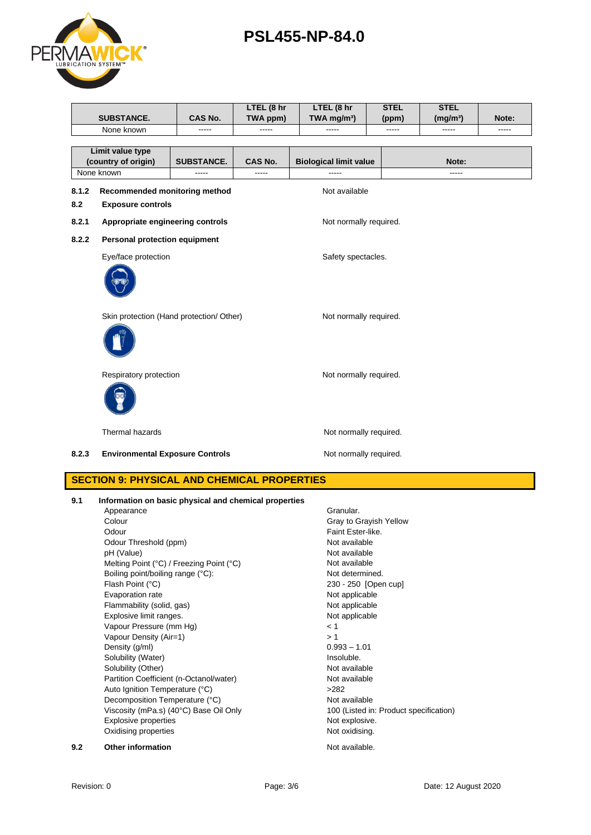|                                                    | <b>SUBSTANCE.</b>                                                                      | <b>CAS No.</b>    | LTEL (8 hr<br>TWA ppm) | LTEL (8 hr<br>TWA mg/m <sup>3</sup> ) | <b>STEL</b><br>(ppm)   | <b>STEL</b><br>(mg/m <sup>3</sup> ) | Note:         |
|----------------------------------------------------|----------------------------------------------------------------------------------------|-------------------|------------------------|---------------------------------------|------------------------|-------------------------------------|---------------|
|                                                    | None known                                                                             |                   | -----                  |                                       | -----                  | -----                               | $\frac{1}{2}$ |
|                                                    |                                                                                        |                   |                        |                                       |                        |                                     |               |
|                                                    | Limit value type                                                                       |                   |                        |                                       |                        |                                     |               |
|                                                    | (country of origin)                                                                    | <b>SUBSTANCE.</b> | <b>CAS No.</b>         | <b>Biological limit value</b>         |                        | Note:                               |               |
|                                                    | None known                                                                             | -----             | -----                  | -----                                 |                        | $---$                               |               |
| 8.1.2                                              | Recommended monitoring method                                                          |                   |                        | Not available                         |                        |                                     |               |
| 8.2                                                | <b>Exposure controls</b>                                                               |                   |                        |                                       |                        |                                     |               |
| 8.2.1                                              | Appropriate engineering controls                                                       |                   |                        | Not normally required.                |                        |                                     |               |
| 8.2.2                                              | Personal protection equipment                                                          |                   |                        |                                       |                        |                                     |               |
|                                                    | Eye/face protection                                                                    |                   |                        | Safety spectacles.                    |                        |                                     |               |
|                                                    |                                                                                        |                   |                        |                                       |                        |                                     |               |
|                                                    | Skin protection (Hand protection/ Other)                                               |                   |                        | Not normally required.                |                        |                                     |               |
|                                                    | Respiratory protection                                                                 |                   |                        | Not normally required.                |                        |                                     |               |
|                                                    | <b>Thermal hazards</b>                                                                 |                   |                        | Not normally required.                |                        |                                     |               |
| 8.2.3                                              | <b>Environmental Exposure Controls</b>                                                 |                   |                        | Not normally required.                |                        |                                     |               |
| <b>SECTION 9: PHYSICAL AND CHEMICAL PROPERTIES</b> |                                                                                        |                   |                        |                                       |                        |                                     |               |
| 9.1                                                | Information on basic physical and chemical properties<br>Appearance<br>Colour<br>Odour |                   |                        | Granular.<br>Faint Ester-like.        | Gray to Grayish Yellow |                                     |               |
|                                                    | Odour Threshold (ppm)                                                                  |                   |                        | Not available                         |                        |                                     |               |

Odour Threshold (ppm) Not available pH (Value) <br>
Mot available Melting Point (°C) / Freezing Point (°C) <br>
Not available Melting Point (°C) / Freezing Point (°C) Boiling point/boiling range (°C): Not determined. Flash Point (°C) 230 - 250 [Open cup] Evaporation rate **Not applicable** Flammability (solid, gas) Not applicable Explosive limit ranges. The contract of the contract of the Not applicable Vapour Pressure (mm Hg) < 1 Vapour Density (Air=1)  $> 1$ <br>Density (a/ml)  $0.993 - 1.01$ Density (g/ml)  $0.993 - 1$ .<br>Solubility (Water) and the contract of the contract of the contract of the contract of the contract of the contract of the contract of the contract of the contract of the contract of the contract Solubility (Water) Solubility (Other) Not available Partition Coefficient (n-Octanol/water) Not available<br>
Auto Ignition Temperature (°C) >282 Auto Ignition Temperature (°C) Decomposition Temperature (°C)<br>
Viscosity (mPa.s) (40°C) Base Oil Only<br>
100 (Listed in: Product specification) Viscosity (mPa.s) (40°C) Base Oil Only Explosive properties Not explosive. Oxidising properties Not oxidising. **9.2 Other information Not available.** 

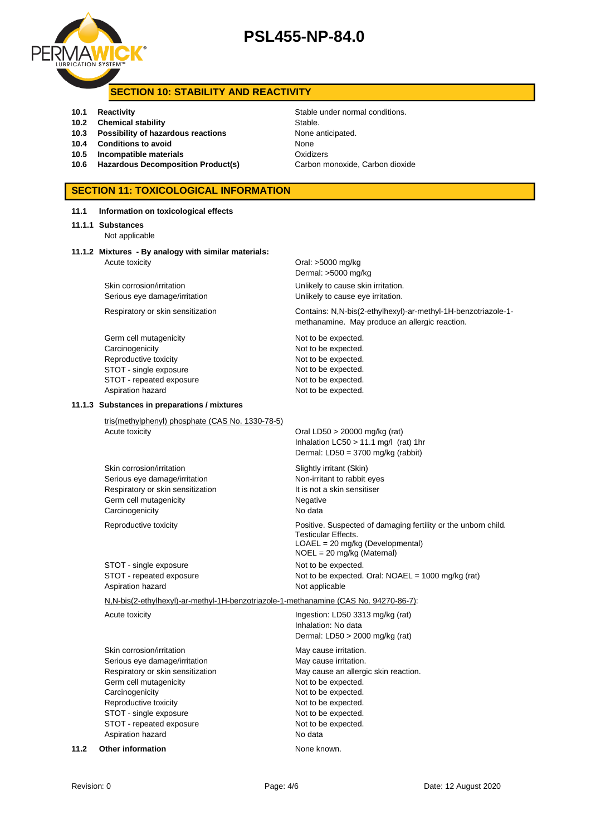

## **SECTION 10: STABILITY AND REACTIVITY**

- **10.1 Reactivity 10.1 Reactivity 10.1 Reactivity Stable under normal conditions.**
- **10.2 Chemical stability** Stable.
- **10.3 Possibility of hazardous reactions** None anticipated.
- **10.4 Conditions to avoid None**
- **10.5 Incompatible materials 10.5 Oxidizers**
- 10.6 **Hazardous Decomposition Product(s)** Carbon monoxide, Carbon dioxide

## **SECTION 11: TOXICOLOGICAL INFORMATION**

| 11.1 | Information on toxicological effects                                                                                                                                                                                                             |                                                                                                                                                                                                                      |  |
|------|--------------------------------------------------------------------------------------------------------------------------------------------------------------------------------------------------------------------------------------------------|----------------------------------------------------------------------------------------------------------------------------------------------------------------------------------------------------------------------|--|
|      | 11.1.1 Substances<br>Not applicable                                                                                                                                                                                                              |                                                                                                                                                                                                                      |  |
|      | 11.1.2 Mixtures - By analogy with similar materials:<br>Acute toxicity                                                                                                                                                                           | Oral: >5000 mg/kg<br>Dermal: >5000 mg/kg                                                                                                                                                                             |  |
|      | Skin corrosion/irritation<br>Serious eye damage/irritation                                                                                                                                                                                       | Unlikely to cause skin irritation.<br>Unlikely to cause eye irritation.                                                                                                                                              |  |
|      | Respiratory or skin sensitization                                                                                                                                                                                                                | Contains: N,N-bis(2-ethylhexyl)-ar-methyl-1H-benzotriazole-1-<br>methanamine. May produce an allergic reaction.                                                                                                      |  |
|      | Germ cell mutagenicity<br>Carcinogenicity<br>Reproductive toxicity<br>STOT - single exposure<br>STOT - repeated exposure<br>Aspiration hazard                                                                                                    | Not to be expected.<br>Not to be expected.<br>Not to be expected.<br>Not to be expected.<br>Not to be expected.<br>Not to be expected.                                                                               |  |
|      | 11.1.3 Substances in preparations / mixtures                                                                                                                                                                                                     |                                                                                                                                                                                                                      |  |
|      | tris(methylphenyl) phosphate (CAS No. 1330-78-5)<br>Acute toxicity                                                                                                                                                                               | Oral LD50 > 20000 mg/kg (rat)<br>Inhalation $LC50 > 11.1$ mg/l (rat) 1hr<br>Dermal: LD50 = 3700 mg/kg (rabbit)                                                                                                       |  |
|      | Skin corrosion/irritation<br>Serious eye damage/irritation<br>Respiratory or skin sensitization<br>Germ cell mutagenicity<br>Carcinogenicity                                                                                                     | Slightly irritant (Skin)<br>Non-irritant to rabbit eyes<br>It is not a skin sensitiser<br>Negative<br>No data                                                                                                        |  |
|      | Reproductive toxicity                                                                                                                                                                                                                            | Positive. Suspected of damaging fertility or the unborn child.<br>Testicular Effects.<br>LOAEL = 20 mg/kg (Developmental)<br>$NOEL = 20$ mg/kg (Maternal)                                                            |  |
|      | STOT - single exposure<br>STOT - repeated exposure<br>Aspiration hazard                                                                                                                                                                          | Not to be expected.<br>Not to be expected. Oral: NOAEL = 1000 mg/kg (rat)<br>Not applicable                                                                                                                          |  |
|      | N,N-bis(2-ethylhexyl)-ar-methyl-1H-benzotriazole-1-methanamine (CAS No. 94270-86-7):                                                                                                                                                             |                                                                                                                                                                                                                      |  |
|      | Acute toxicity                                                                                                                                                                                                                                   | Ingestion: LD50 3313 mg/kg (rat)<br>Inhalation: No data<br>Dermal: LD50 > 2000 mg/kg (rat)                                                                                                                           |  |
|      | Skin corrosion/irritation<br>Serious eye damage/irritation<br>Respiratory or skin sensitization<br>Germ cell mutagenicity<br>Carcinogenicity<br>Reproductive toxicity<br>STOT - single exposure<br>STOT - repeated exposure<br>Aspiration hazard | May cause irritation.<br>May cause irritation.<br>May cause an allergic skin reaction.<br>Not to be expected.<br>Not to be expected.<br>Not to be expected.<br>Not to be expected.<br>Not to be expected.<br>No data |  |
| 11.2 | <b>Other information</b>                                                                                                                                                                                                                         | None known.                                                                                                                                                                                                          |  |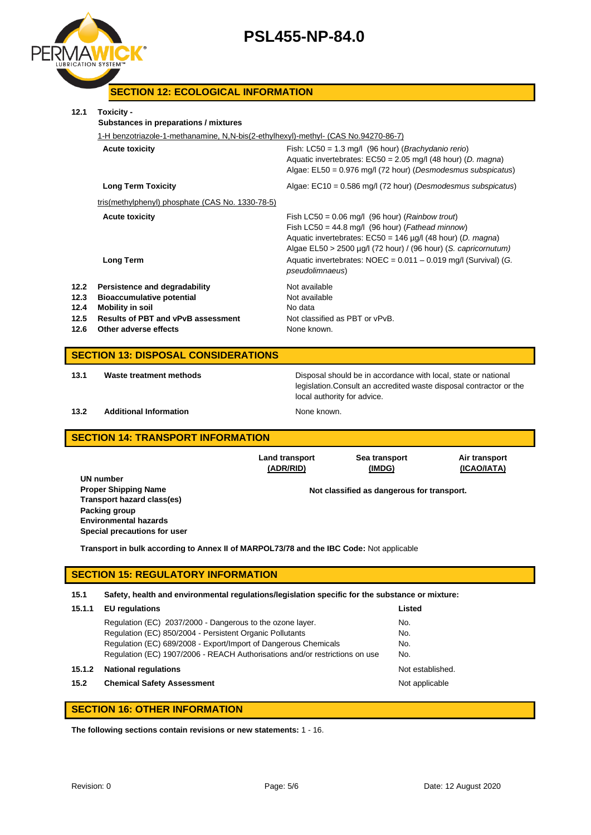



## **SECTION 12: ECOLOGICAL INFORMATION**

| 12.1                                       | Toxicity -<br>Substances in preparations / mixtures                                                                                                                |                                                                                                                                                                                                                                                                                                                                                           |  |  |
|--------------------------------------------|--------------------------------------------------------------------------------------------------------------------------------------------------------------------|-----------------------------------------------------------------------------------------------------------------------------------------------------------------------------------------------------------------------------------------------------------------------------------------------------------------------------------------------------------|--|--|
|                                            | 1-H benzotriazole-1-methanamine, N,N-bis(2-ethylhexyl)-methyl- (CAS No.94270-86-7)                                                                                 |                                                                                                                                                                                                                                                                                                                                                           |  |  |
|                                            | <b>Acute toxicity</b>                                                                                                                                              | Fish: $LC50 = 1.3$ mg/l (96 hour) ( <i>Brachydanio rerio</i> )<br>Aquatic invertebrates: $EC50 = 2.05$ mg/l (48 hour) (D. magna)<br>Algae: $EL50 = 0.976$ mg/l (72 hour) (Desmodesmus subspicatus)                                                                                                                                                        |  |  |
|                                            | <b>Long Term Toxicity</b>                                                                                                                                          | Algae: $EC10 = 0.586$ mg/l (72 hour) (Desmodesmus subspicatus)                                                                                                                                                                                                                                                                                            |  |  |
|                                            | tris(methylphenyl) phosphate (CAS No. 1330-78-5)                                                                                                                   |                                                                                                                                                                                                                                                                                                                                                           |  |  |
|                                            | <b>Acute toxicity</b><br><b>Long Term</b>                                                                                                                          | Fish LC50 = $0.06$ mg/l (96 hour) (Rainbow trout)<br>Fish LC50 = $44.8$ mg/l (96 hour) ( <i>Fathead minnow</i> )<br>Aquatic invertebrates: $EC50 = 146$ µg/l (48 hour) (D. magna)<br>Algae $EL50 > 2500 \mu g/l$ (72 hour) / (96 hour) (S. capricornutum)<br>Aquatic invertebrates: $NOEC = 0.011 - 0.019$ mg/l (Survival) (G.<br><i>pseudolimnaeus</i> ) |  |  |
| 12.2<br>12.3<br>12.4<br>12.5<br>12.6       | Persistence and degradability<br><b>Bioaccumulative potential</b><br><b>Mobility in soil</b><br><b>Results of PBT and vPvB assessment</b><br>Other adverse effects | Not available<br>Not available<br>No data<br>Not classified as PBT or vPvB.<br>None known.                                                                                                                                                                                                                                                                |  |  |
| <b>SECTION 13: DISPOSAL CONSIDERATIONS</b> |                                                                                                                                                                    |                                                                                                                                                                                                                                                                                                                                                           |  |  |
| 13.1                                       | Waste treatment methods                                                                                                                                            | Disposal should be in accordance with local, state or national                                                                                                                                                                                                                                                                                            |  |  |

**13.2 Additional Information None known.** 

local authority for advice.

legislation.Consult an accredited waste disposal contractor or the

#### **SECTION 14: TRANSPORT INFORMATION**

|                              | Land transport<br>(ADR/RID) | Sea transport<br>(IMDG)                    | Air transport<br>(ICAO/IATA) |
|------------------------------|-----------------------------|--------------------------------------------|------------------------------|
| UN number                    |                             |                                            |                              |
| <b>Proper Shipping Name</b>  |                             | Not classified as dangerous for transport. |                              |
| Transport hazard class(es)   |                             |                                            |                              |
| Packing group                |                             |                                            |                              |
| <b>Environmental hazards</b> |                             |                                            |                              |
| Special precautions for user |                             |                                            |                              |

**Transport in bulk according to Annex II of MARPOL73/78 and the IBC Code:** Not applicable

#### **SECTION 15: REGULATORY INFORMATION**

#### **15.1 Safety, health and environmental regulations/legislation specific for the substance or mixture:**

| 15.1.1 | <b>EU</b> regulations                                                       | Listed           |
|--------|-----------------------------------------------------------------------------|------------------|
|        | Regulation (EC) 2037/2000 - Dangerous to the ozone layer.                   | No.              |
|        | Regulation (EC) 850/2004 - Persistent Organic Pollutants                    | No.              |
|        | Regulation (EC) 689/2008 - Export/Import of Dangerous Chemicals             | No.              |
|        | Regulation (EC) 1907/2006 - REACH Authorisations and/or restrictions on use | No.              |
| 15.1.2 | <b>National regulations</b>                                                 | Not established. |
| 15.2   | <b>Chemical Safety Assessment</b>                                           | Not applicable   |
|        |                                                                             |                  |

## **SECTION 16: OTHER INFORMATION**

**The following sections contain revisions or new statements:** 1 - 16.